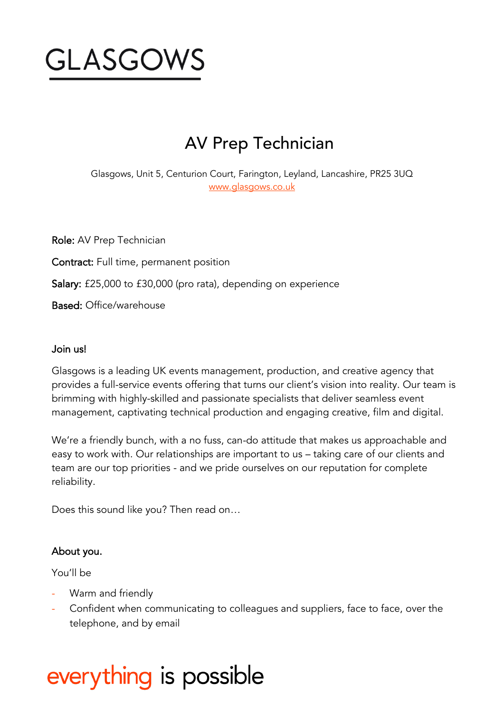

# AV Prep Technician

Glasgows, Unit 5, Centurion Court, Farington, Leyland, Lancashire, PR25 3UQ [www.glasgows.co.uk](http://www.glasgows.co.uk/)

Role: AV Prep Technician Contract: Full time, permanent position Salary: £25,000 to £30,000 (pro rata), depending on experience Based: Office/warehouse

#### Join us!

Glasgows is a leading UK events management, production, and creative agency that provides a full-service events offering that turns our client's vision into reality. Our team is brimming with highly-skilled and passionate specialists that deliver seamless event management, captivating technical production and engaging creative, film and digital.

We're a friendly bunch, with a no fuss, can-do attitude that makes us approachable and easy to work with. Our relationships are important to us – taking care of our clients and team are our top priorities - and we pride ourselves on our reputation for complete reliability.

Does this sound like you? Then read on…

# About you.

You'll be

- Warm and friendly
- Confident when communicating to colleagues and suppliers, face to face, over the telephone, and by email

# everything is possible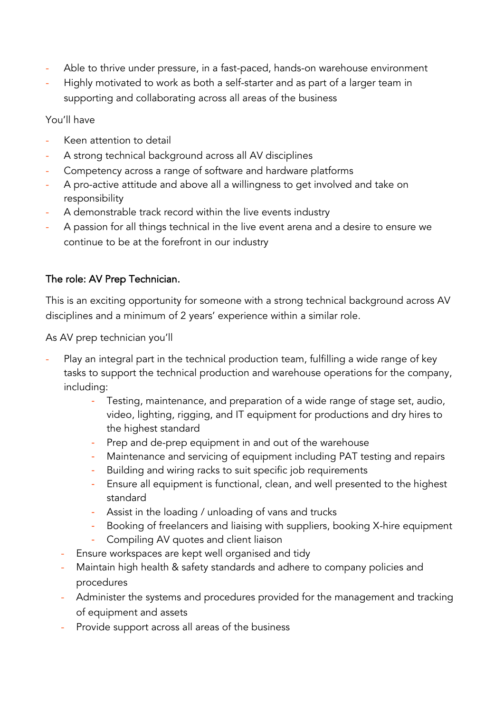- Able to thrive under pressure, in a fast-paced, hands-on warehouse environment
- Highly motivated to work as both a self-starter and as part of a larger team in supporting and collaborating across all areas of the business

You'll have

- Keen attention to detail
- A strong technical background across all AV disciplines
- Competency across a range of software and hardware platforms
- A pro-active attitude and above all a willingness to get involved and take on responsibility
- A demonstrable track record within the live events industry
- A passion for all things technical in the live event arena and a desire to ensure we continue to be at the forefront in our industry

# The role: AV Prep Technician.

This is an exciting opportunity for someone with a strong technical background across AV disciplines and a minimum of 2 years' experience within a similar role.

As AV prep technician you'll

- Play an integral part in the technical production team, fulfilling a wide range of key tasks to support the technical production and warehouse operations for the company, including:
	- Testing, maintenance, and preparation of a wide range of stage set, audio, video, lighting, rigging, and IT equipment for productions and dry hires to the highest standard
	- Prep and de-prep equipment in and out of the warehouse
	- Maintenance and servicing of equipment including PAT testing and repairs
	- Building and wiring racks to suit specific job requirements
	- Ensure all equipment is functional, clean, and well presented to the highest standard
	- Assist in the loading / unloading of vans and trucks
	- Booking of freelancers and liaising with suppliers, booking X-hire equipment
	- Compiling AV quotes and client liaison
	- Ensure workspaces are kept well organised and tidy
	- Maintain high health & safety standards and adhere to company policies and procedures
	- Administer the systems and procedures provided for the management and tracking of equipment and assets
	- Provide support across all areas of the business